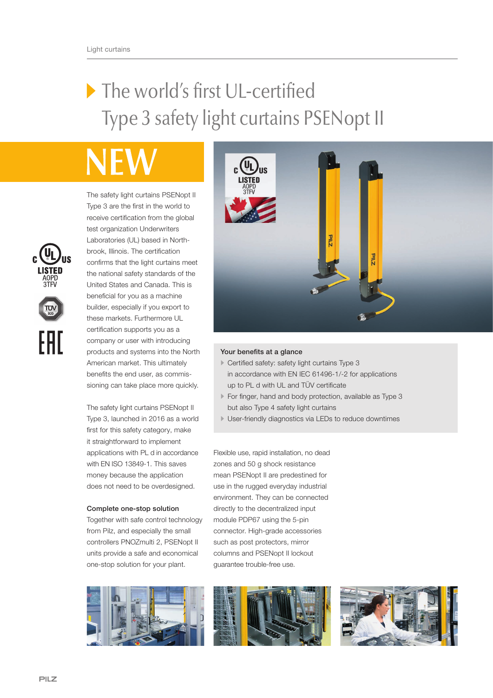## The world's first UL-certified Type 3 safety light curtains PSENopt II

The safety light curtains PSENopt II Type 3 are the first in the world to receive certification from the global test organization Underwriters Laboratories (UL) based in Northbrook, Illinois. The certification confirms that the light curtains meet the national safety standards of the United States and Canada. This is beneficial for you as a machine builder, especially if you export to these markets. Furthermore UL certification supports you as a company or user with introducing products and systems into the North American market. This ultimately benefits the end user, as commissioning can take place more quickly.

The safety light curtains PSENopt II Type 3, launched in 2016 as a world first for this safety category, make it straightforward to implement applications with PL d in accordance with EN ISO 13849-1. This saves money because the application does not need to be overdesigned.

## Complete one-stop solution

Together with safe control technology from Pilz, and especially the small controllers PNOZmulti 2, PSENopt II units provide a safe and economical one-stop solution for your plant.





## Your benefits at a glance

- Certified safety: safety light curtains Type 3 in accordance with EN IEC 61496-1/-2 for applications up to PL d with UL and TÜV certificate
- For finger, hand and body protection, available as Type 3 but also Type 4 safety light curtains
- User-friendly diagnostics via LEDs to reduce downtimes

Flexible use, rapid installation, no dead zones and 50 g shock resistance mean PSENopt II are predestined for use in the rugged everyday industrial environment. They can be connected directly to the decentralized input module PDP67 using the 5-pin connector. High-grade accessories such as post protectors, mirror columns and PSENopt II lockout guarantee trouble-free use.



FAI